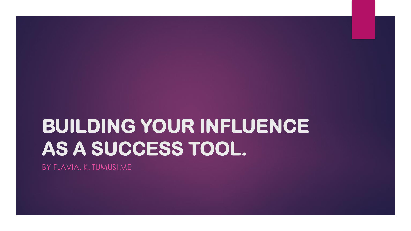# **BUILDING YOUR INFLUENCE AS A SUCCESS TOOL.**

BY FLAVIA. K. TUMUSIIME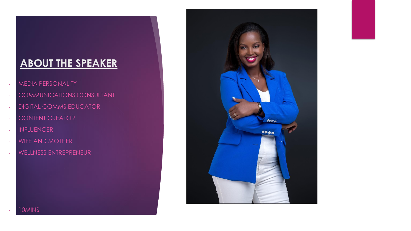### **ABOUT THE SPEAKER**

- MEDIA PERSONALITY
- COMMUNICATIONS CONSULTANT
- **DIGITAL COMMS EDUCATOR**
- CONTENT CREATOR
- INFLUENCER
- WIFE AND MOTHER
- WELLNESS ENTREPRENEUR



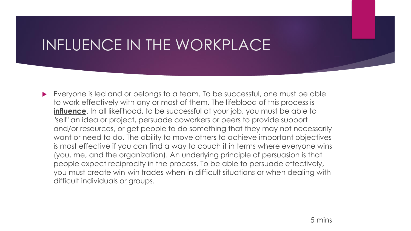## INFLUENCE IN THE WORKPLACE

Everyone is led and or belongs to a team. To be successful, one must be able to work effectively with any or most of them. The lifeblood of this process is **influence**. In all likelihood, to be successful at your job, you must be able to "sell" an idea or project, persuade coworkers or peers to provide support and/or resources, or get people to do something that they may not necessarily want or need to do. The ability to move others to achieve important objectives is most effective if you can find a way to couch it in terms where everyone wins (you, me, and the organization). An underlying principle of persuasion is that people expect reciprocity in the process. To be able to persuade effectively, you must create win-win trades when in difficult situations or when dealing with difficult individuals or groups.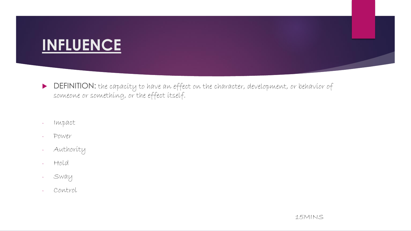### **INFLUENCE**

- DEFINITION: the capacity to have an effect on the character, development, or behavior of someone or something, or the effect itself.
- Impact
- Power
- Authority
- Hold
- Sway
- Control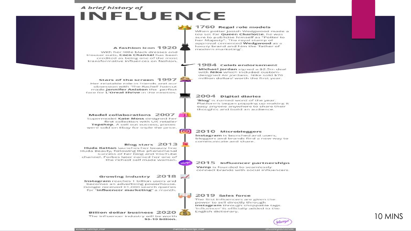### A brief history of INFLUENCE



o

#### 1760 Regal role models When potter losiah Wedewood made a tea set for Queen Charlotte, he was

sure to publicise himself as "Potter to her Majesty". The royal stamp of approval cemented Wedgwood as a luxury brand and him the 'father of modern marketing'.

#### 1984 Celeb endorsement

Michael Jordan signed a \$2.5m deal with Nike which included customdesigned Air Jordans. Nike sold \$70 million dollars' worth the first year.



#### A fashion icon 1920

With her little black dresses and trouser suits. Coco Channel has been credited as being one of the most transformative influences on fashion.

#### Stars of the screen 1997

Her relatable role in friends and our obsession with 'The Rachel' haircut made **Jennifer Aniston** the perfect face for L'Oreal Elvive in the nineties.

#### Model collaborations 2007

Supermodel Kate Moss designed her first collection with UK retailer Topshop. A sell out success, pieces were sold on Ebay for triple the price.

#### Blog stars 2013

Huda Kattan launches her beauty line Huda Beauty, following the phenomenal success of her blog and YouTube channel. Forbes later named her one of the richest self made women.

#### Growing industry 2018

Instagram reaches 1 billion users and becomes an advertising powerhouse. Google received 61,000 search queries for "influencer marketing" a month.

#### Billion dollar business 2020

The influencer industry will be worth \$5-10 billion.

#### 2004 Digital diaries

'Blog' is named word of the year. Platforms began popping up making it easy anyone anywhere to share their thoughts and build an audience.

#### 2010 Microbloggers

Instagram is launched and users, bloggers and brands find a new way to communicate and share.

#### 2015 Influencer partnerships

Vamp is founded to seamlessly connect brands with social influencers.

#### 2019 Sales force

The first influencers are given the power to sell directly through Instagram through shoppable tags. 'Influencer' is officially added to the English dictionary.





### 10 MINS

www.vamp.me

 $\mathbf{F}$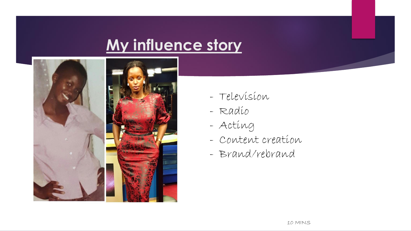## **My influence story**



- Television
- Radio
- Acting
- Content creation
- Brand/rebrand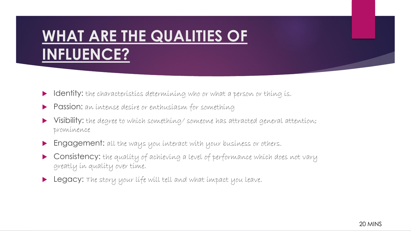## **WHAT ARE THE QUALITIES OF INFLUENCE?**

- Identity: the characteristics determining who or what a person or thing is.
- **Passion:** an intense desire or enthusiasm for something
- Visibility: the degree to which something/ someone has attracted general attention; prominence
- **Engagement:** all the ways you interact with your business or others.
- **Consistency:** the quality of achieving a level of performance which does not vary greatly in quality over time.
- **Legacy:** The story your life will tell and what impact you leave.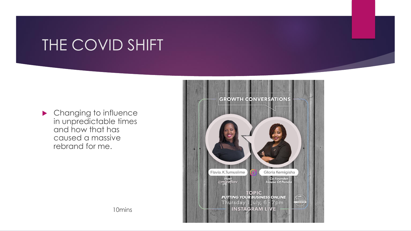### THE COVID SHIFT

**Changing to influence** in unpredictable times and how that has caused a massive rebrand for me.



10mins